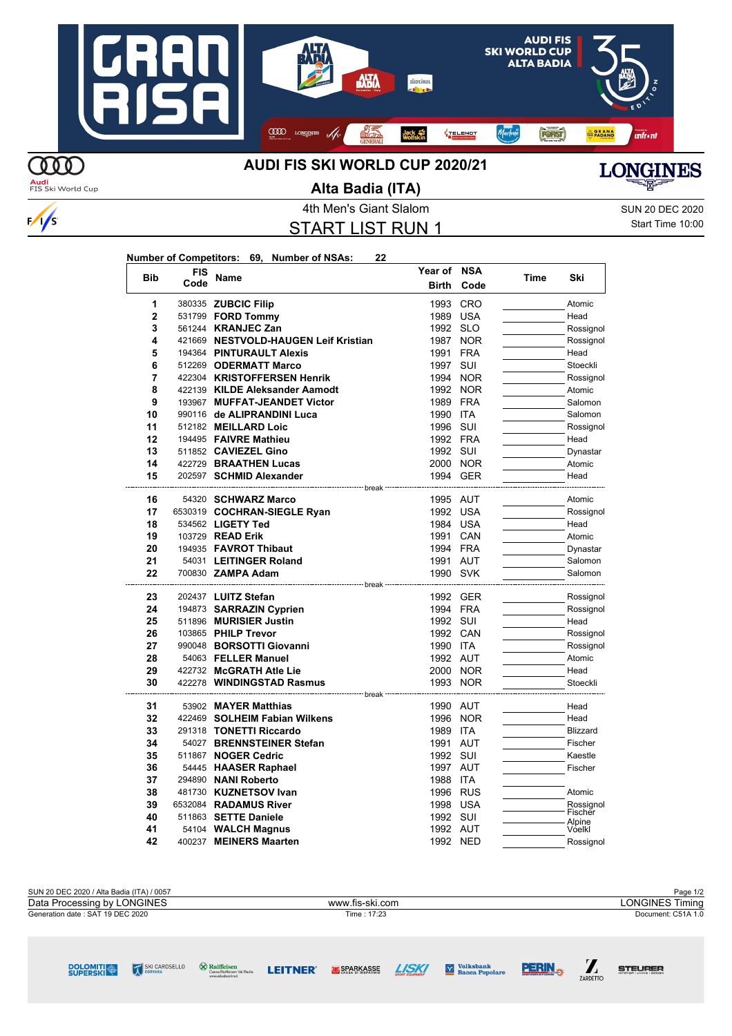

**Audi**<br>FIS Ski World Cup

 $\frac{1}{s}$ 

## **Alta Badia (ITA)**



4th Men's Giant Slalom SUN 20 DEC 2020 START LIST RUN 1

**Year of NSA**

Start Time 10:00

 $\sum_{\text{ZARDETIO}}$ 

**STEURER** 

**PERIN<sub>\*\*</sub>** 

**Volksbank**<br>Banca Popolare

| Number of Competitors: 69, Number of NSAs: |  | 22 |
|--------------------------------------------|--|----|
|                                            |  |    |

| <b>Bib</b>     | FIS  | Name                                                                  | Year of      | <b>NSA</b> | Time | Ski              |
|----------------|------|-----------------------------------------------------------------------|--------------|------------|------|------------------|
|                | Code |                                                                       | <b>Birth</b> | Code       |      |                  |
| 1              |      | 380335 ZUBCIC Filip                                                   | 1993         | <b>CRO</b> |      | Atomic           |
| $\overline{2}$ |      | 531799 <b>FORD Tommy</b>                                              | 1989         | <b>USA</b> |      | Head             |
| 3              |      | 561244 <b>KRANJEC Zan</b>                                             | 1992         | <b>SLO</b> |      | Rossignol        |
| 4              |      | 421669 NESTVOLD-HAUGEN Leif Kristian                                  | 1987         | <b>NOR</b> |      | Rossignol        |
| 5              |      | 194364 PINTURAULT Alexis                                              | 1991         | <b>FRA</b> |      | Head             |
| 6              |      | 512269 ODERMATT Marco                                                 | 1997         | SUI        |      | Stoeckli         |
| 7              |      | 422304 KRISTOFFERSEN Henrik                                           |              | 1994 NOR   |      | Rossignol        |
| 8              |      | 422139 KILDE Aleksander Aamodt                                        | 1992         | <b>NOR</b> |      | Atomic           |
| 9              |      | 193967 MUFFAT-JEANDET Victor                                          | 1989         | <b>FRA</b> |      | Salomon          |
| 10             |      | 990116 de ALIPRANDINI Luca                                            | 1990         | <b>ITA</b> |      | Salomon          |
| 11             |      | 512182 MEILLARD Loic                                                  | 1996 SUI     |            |      | Rossignol        |
| 12             |      | 194495 FAIVRE Mathieu                                                 | 1992 FRA     |            |      | Head             |
| 13             |      | 511852 CAVIEZEL Gino                                                  | 1992 SUI     |            |      | Dynastar         |
| 14             |      | 422729 BRAATHEN Lucas                                                 | 2000 NOR     |            |      | Atomic           |
| 15             |      | 202597 SCHMID Alexander<br>------------------ break                   | 1994 GER     |            |      | Head             |
| 16             |      | 54320 SCHWARZ Marco                                                   | 1995 AUT     |            |      | Atomic           |
| 17             |      | 6530319 COCHRAN-SIEGLE Ryan                                           | 1992 USA     |            |      | Rossignol        |
| 18             |      | 534562 LIGETY Ted                                                     | 1984 USA     |            |      | Head             |
| 19             |      | 103729 READ Erik                                                      | 1991         | CAN        |      | Atomic           |
| 20             |      | 194935 FAVROT Thibaut                                                 | 1994 FRA     |            |      | Dynastar         |
| 21             |      | 54031 LEITINGER Roland                                                | 1991 AUT     |            |      | Salomon          |
| 22             |      | 700830 ZAMPA Adam                                                     | 1990 SVK     |            |      | Salomon          |
|                |      | --------------------- break <sup>--</sup>                             |              |            |      |                  |
| 23             |      | 202437 LUITZ Stefan                                                   | 1992 GER     |            |      | Rossignol        |
| 24             |      | 194873 SARRAZIN Cyprien                                               | 1994 FRA     |            |      | Rossignol        |
| 25             |      | 511896 MURISIER Justin                                                | 1992 SUI     |            |      | Head             |
| 26             |      | 103865 PHILP Trevor                                                   | 1992 CAN     |            |      | Rossignol        |
| 27             |      | 990048 BORSOTTI Giovanni                                              | 1990 ITA     |            |      | Rossignol        |
| 28             |      | 54063 FELLER Manuel                                                   | 1992 AUT     |            |      | Atomic           |
| 29             |      | 422732 McGRATH Atle Lie                                               | 2000 NOR     |            |      | Head             |
| 30             |      | 422278 WINDINGSTAD Rasmus<br>-------------------------------- break - | 1993         | <b>NOR</b> |      | Stoeckli         |
| 31             |      | 53902 MAYER Matthias                                                  | 1990 AUT     |            |      | Head             |
| 32             |      | 422469 SOLHEIM Fabian Wilkens                                         | 1996         | <b>NOR</b> |      | Head             |
| 33             |      | 291318 TONETTI Riccardo                                               | 1989         | <b>ITA</b> |      | <b>Blizzard</b>  |
| 34             |      | 54027 BRENNSTEINER Stefan                                             | 1991         | <b>AUT</b> |      | Fischer          |
| 35             |      | 511867 NOGER Cedric                                                   | 1992 SUI     |            |      | Kaestle          |
| 36             |      | 54445 HAASER Raphael                                                  | 1997 AUT     |            |      | Fischer          |
| 37             |      | 294890 NANI Roberto                                                   | 1988 ITA     |            |      |                  |
| 38             |      | 481730 KUZNETSOV Ivan                                                 | 1996         | <b>RUS</b> |      | Atomic           |
| 39             |      | 6532084 RADAMUS River                                                 | 1998 USA     |            |      | Rossignol        |
| 40             |      | 511863 SETTE Daniele                                                  | 1992 SUI     |            |      | Fischer          |
| 41             |      | 54104 WALCH Magnus                                                    | 1992 AUT     |            |      | Alpine<br>Vóelkl |
| 42             |      | 400237 MEINERS Maarten                                                | 1992 NED     |            |      | Rossignol        |

| SUN 20 DEC 2020 / Alta Badia (ITA) / 0057 |                 | Page 1/2               |
|-------------------------------------------|-----------------|------------------------|
| Data Processing by LONGINES               | www.fis-ski.com | <b>LONGINES Timing</b> |
| Generation date: SAT 19 DEC 2020          | Time: 17:23     | Document: C51A 1.0     |
|                                           |                 |                        |
|                                           |                 |                        |
|                                           |                 |                        |

**SPARKASSE** 

**LISKI** 

SKI CAROSELLO

**DOLOMITI** 

 $\bigotimes$  Raiffeisen<br>Cassa Raiffeisen Val Badia

**LEITNER**